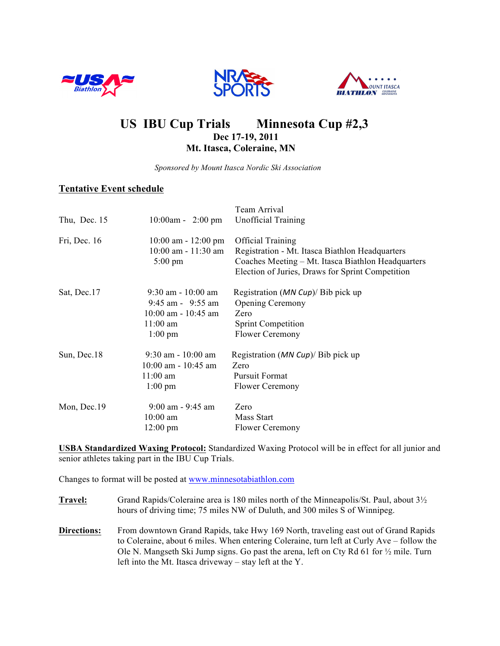





# US IBU Cup Trials Minnesota Cup #2,3<br>Dec 17-19, 2011  **Mt. Itasca, Coleraine, MN**

 *Sponsored by Mount Itasca Nordic Ski Association*

## **Tentative Event schedule**

| Thu, Dec. 15 | $10:00$ am - 2:00 pm    | Team Arrival<br><b>Unofficial Training</b>         |
|--------------|-------------------------|----------------------------------------------------|
|              |                         |                                                    |
| Fri, Dec. 16 | $10:00$ am - 12:00 pm   | <b>Official Training</b>                           |
|              | $10:00$ am - $11:30$ am | Registration - Mt. Itasca Biathlon Headquarters    |
|              | $5:00 \text{ pm}$       | Coaches Meeting – Mt. Itasca Biathlon Headquarters |
|              |                         | Election of Juries, Draws for Sprint Competition   |
| Sat, Dec.17  | $9:30$ am - 10:00 am    | Registration ( $MN Cup$ )/ Bib pick up             |
|              | $9:45$ am - $9:55$ am   | <b>Opening Ceremony</b>                            |
|              | $10:00$ am - $10:45$ am | Zero                                               |
|              | $11:00$ am              | <b>Sprint Competition</b>                          |
|              | $1:00 \text{ pm}$       | <b>Flower Ceremony</b>                             |
| Sun, Dec.18  | $9:30$ am - $10:00$ am  | Registration ( <i>MN Cup</i> )/ Bib pick up        |
|              | $10:00$ am - $10:45$ am | Zero                                               |
|              | $11:00$ am              | <b>Pursuit Format</b>                              |
|              | $1:00 \text{ pm}$       | <b>Flower Ceremony</b>                             |
| Mon, Dec.19  | $9:00$ am - $9:45$ am   | Zero                                               |
|              | $10:00$ am              | Mass Start                                         |
|              | $12:00 \text{ pm}$      | <b>Flower Ceremony</b>                             |

**USBA Standardized Waxing Protocol:** Standardized Waxing Protocol will be in effect for all junior and senior athletes taking part in the IBU Cup Trials.

Changes to format will be posted at www.minnesotabiathlon.com

**Travel:** Grand Rapids/Coleraine area is 180 miles north of the Minneapolis/St. Paul, about 3½ hours of driving time; 75 miles NW of Duluth, and 300 miles S of Winnipeg.

**Directions:** From downtown Grand Rapids, take Hwy 169 North, traveling east out of Grand Rapids to Coleraine, about 6 miles. When entering Coleraine, turn left at Curly Ave – follow the Ole N. Mangseth Ski Jump signs. Go past the arena, left on Cty Rd 61 for ½ mile. Turn left into the Mt. Itasca driveway – stay left at the Y.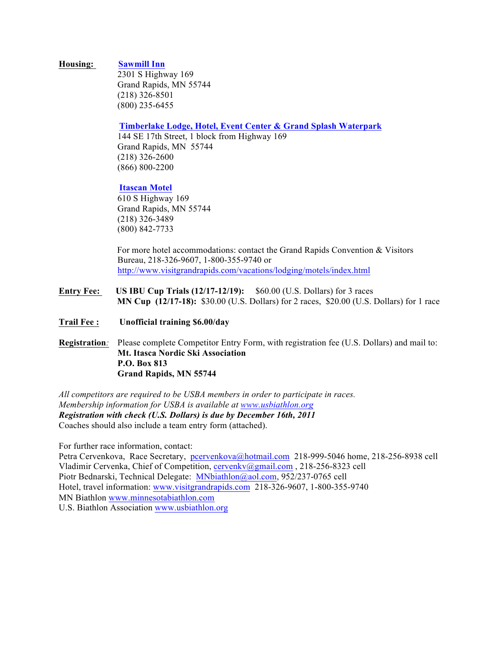#### **Housing: Sawmill Inn**

2301 S Highway 169 Grand Rapids, MN 55744 (218) 326-8501 (800) 235-6455

#### **Timberlake Lodge, Hotel, Event Center & Grand Splash Waterpark**

144 SE 17th Street, 1 block from Highway 169 Grand Rapids, MN 55744 (218) 326-2600 (866) 800-2200

#### **Itascan Motel**

610 S Highway 169 Grand Rapids, MN 55744 (218) 326-3489 (800) 842-7733

 For more hotel accommodations: contact the Grand Rapids Convention & Visitors Bureau, 218-326-9607, 1-800-355-9740 or http://www.visitgrandrapids.com/vacations/lodging/motels/index.html

- **Entry Fee: US IBU Cup Trials (12/17-12/19):** \$60.00 (U.S. Dollars) for 3 races  **MN Cup (12/17-18):** \$30.00 (U.S. Dollars) for 2 races, \$20.00 (U.S. Dollars) for 1 race
- **Trail Fee : Unofficial training \$6.00/day**
- **Registration***:* Please complete Competitor Entry Form, with registration fee (U.S. Dollars) and mail to: **Mt. Itasca Nordic Ski Association P.O. Box 813 Grand Rapids, MN 55744**

*All competitors are required to be USBA members in order to participate in races. Membership information for USBA is available at www.usbiathlon.org Registration with check (U.S. Dollars) is due by December 16th, 2011* Coaches should also include a team entry form (attached).

For further race information, contact:

Petra Cervenkova, Race Secretary, pcervenkova@hotmail.com 218-999-5046 home, 218-256-8938 cell Vladimir Cervenka, Chief of Competition, cervenkv@gmail.com , 218-256-8323 cell Piotr Bednarski, Technical Delegate: MNbiathlon@aol.com, 952/237-0765 cell Hotel, travel information: www.visitgrandrapids.com 218-326-9607, 1-800-355-9740 MN Biathlon www.minnesotabiathlon.com

U.S. Biathlon Association www.usbiathlon.org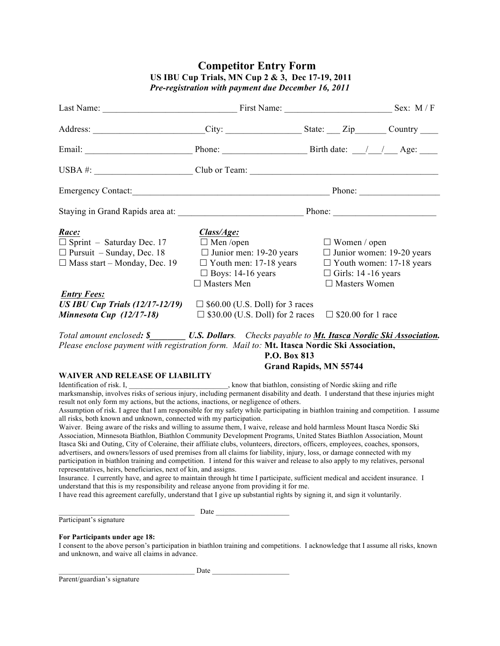## **Competitor Entry Form US IBU Cup Trials, MN Cup 2 & 3, Dec 17-19, 2011** *Pre-registration with payment due December 16, 2011*

|                                                                                                                                                                                                                                                                                                                                                                                                                                                                                                                                                                                                                                                                                                                                                                                                                                                                                                                                                                                                                                                                                                                                                                                                                                                                                                                                                                                                                                  | Last Name: Sex: M/F                                                                                                                                |                                                                                                                                                                               |  |  |  |  |
|----------------------------------------------------------------------------------------------------------------------------------------------------------------------------------------------------------------------------------------------------------------------------------------------------------------------------------------------------------------------------------------------------------------------------------------------------------------------------------------------------------------------------------------------------------------------------------------------------------------------------------------------------------------------------------------------------------------------------------------------------------------------------------------------------------------------------------------------------------------------------------------------------------------------------------------------------------------------------------------------------------------------------------------------------------------------------------------------------------------------------------------------------------------------------------------------------------------------------------------------------------------------------------------------------------------------------------------------------------------------------------------------------------------------------------|----------------------------------------------------------------------------------------------------------------------------------------------------|-------------------------------------------------------------------------------------------------------------------------------------------------------------------------------|--|--|--|--|
| Address: _______________________City: ____________________State: ____Zip_______Country _____________                                                                                                                                                                                                                                                                                                                                                                                                                                                                                                                                                                                                                                                                                                                                                                                                                                                                                                                                                                                                                                                                                                                                                                                                                                                                                                                             |                                                                                                                                                    |                                                                                                                                                                               |  |  |  |  |
|                                                                                                                                                                                                                                                                                                                                                                                                                                                                                                                                                                                                                                                                                                                                                                                                                                                                                                                                                                                                                                                                                                                                                                                                                                                                                                                                                                                                                                  |                                                                                                                                                    |                                                                                                                                                                               |  |  |  |  |
| USBA #: $\_\_\_\_\_\_\_\_\_\_\_$ Club or Team: $\_\_\_\_\_\_\_\_\_\_\_\_$                                                                                                                                                                                                                                                                                                                                                                                                                                                                                                                                                                                                                                                                                                                                                                                                                                                                                                                                                                                                                                                                                                                                                                                                                                                                                                                                                        |                                                                                                                                                    |                                                                                                                                                                               |  |  |  |  |
|                                                                                                                                                                                                                                                                                                                                                                                                                                                                                                                                                                                                                                                                                                                                                                                                                                                                                                                                                                                                                                                                                                                                                                                                                                                                                                                                                                                                                                  |                                                                                                                                                    |                                                                                                                                                                               |  |  |  |  |
|                                                                                                                                                                                                                                                                                                                                                                                                                                                                                                                                                                                                                                                                                                                                                                                                                                                                                                                                                                                                                                                                                                                                                                                                                                                                                                                                                                                                                                  |                                                                                                                                                    |                                                                                                                                                                               |  |  |  |  |
| Race:<br>$\Box$ Sprint - Saturday Dec. 17<br>$\Box$ Pursuit – Sunday, Dec. 18<br>$\Box$ Mass start – Monday, Dec. 19<br><b>Entry Fees:</b><br>US IBU Cup Trials $(12/17-12/19)$ $\Box$ \$60.00 (U.S. Doll) for 3 races                                                                                                                                                                                                                                                                                                                                                                                                                                                                                                                                                                                                                                                                                                                                                                                                                                                                                                                                                                                                                                                                                                                                                                                                           | ClassAge:<br>$\Box$ Men /open<br>$\Box$ Junior men: 19-20 years<br>$\Box$ Youth men: 17-18 years<br>$\Box$ Boys: 14-16 years<br>$\Box$ Masters Men | $\Box$ Women / open<br>$\Box$ Junior women: 19-20 years<br>$\Box$ Youth women: 17-18 years<br>$\Box$ Girls: 14 -16 years<br>$\Box$ Masters Women<br>$\Box$ \$20.00 for 1 race |  |  |  |  |
| <b>Minnesota Cup</b> $(12/17-18)$ $\Box$ \$30.00 (U.S. Doll) for 2 races                                                                                                                                                                                                                                                                                                                                                                                                                                                                                                                                                                                                                                                                                                                                                                                                                                                                                                                                                                                                                                                                                                                                                                                                                                                                                                                                                         |                                                                                                                                                    |                                                                                                                                                                               |  |  |  |  |
| Total amount enclosed: \$ U.S. Dollars. Checks payable to Mt. Itasca Nordic Ski Association.<br>Please enclose payment with registration form. Mail to: Mt. Itasca Nordic Ski Association,<br>P.O. Box 813<br><b>Grand Rapids, MN 55744</b>                                                                                                                                                                                                                                                                                                                                                                                                                                                                                                                                                                                                                                                                                                                                                                                                                                                                                                                                                                                                                                                                                                                                                                                      |                                                                                                                                                    |                                                                                                                                                                               |  |  |  |  |
| <b>WAIVER AND RELEASE OF LIABILITY</b><br>result not only form my actions, but the actions, inactions, or negligence of others.<br>Assumption of risk. I agree that I am responsible for my safety while participating in biathlon training and competition. I assume<br>all risks, both known and unknown, connected with my participation.<br>Waiver. Being aware of the risks and willing to assume them, I waive, release and hold harmless Mount Itasca Nordic Ski<br>Association, Minnesota Biathlon, Biathlon Community Development Programs, United States Biathlon Association, Mount<br>Itasca Ski and Outing, City of Coleraine, their affiliate clubs, volunteers, directors, officers, employees, coaches, sponsors,<br>advertisers, and owners/lessors of used premises from all claims for liability, injury, loss, or damage connected with my<br>participation in biathlon training and competition. I intend for this waiver and release to also apply to my relatives, personal<br>representatives, heirs, beneficiaries, next of kin, and assigns.<br>Insurance. I currently have, and agree to maintain through ht time I participate, sufficient medical and accident insurance. I<br>understand that this is my responsibility and release anyone from providing it for me.<br>I have read this agreement carefully, understand that I give up substantial rights by signing it, and sign it voluntarily. |                                                                                                                                                    |                                                                                                                                                                               |  |  |  |  |
| Participant's signature                                                                                                                                                                                                                                                                                                                                                                                                                                                                                                                                                                                                                                                                                                                                                                                                                                                                                                                                                                                                                                                                                                                                                                                                                                                                                                                                                                                                          |                                                                                                                                                    |                                                                                                                                                                               |  |  |  |  |
| For Participants under age 18:<br>I consent to the above person's participation in biathlon training and competitions. I acknowledge that I assume all risks, known<br>and unknown, and waive all claims in advance.                                                                                                                                                                                                                                                                                                                                                                                                                                                                                                                                                                                                                                                                                                                                                                                                                                                                                                                                                                                                                                                                                                                                                                                                             |                                                                                                                                                    |                                                                                                                                                                               |  |  |  |  |
| Parent/guardian's signature                                                                                                                                                                                                                                                                                                                                                                                                                                                                                                                                                                                                                                                                                                                                                                                                                                                                                                                                                                                                                                                                                                                                                                                                                                                                                                                                                                                                      | $\frac{1}{2}$ Date                                                                                                                                 |                                                                                                                                                                               |  |  |  |  |